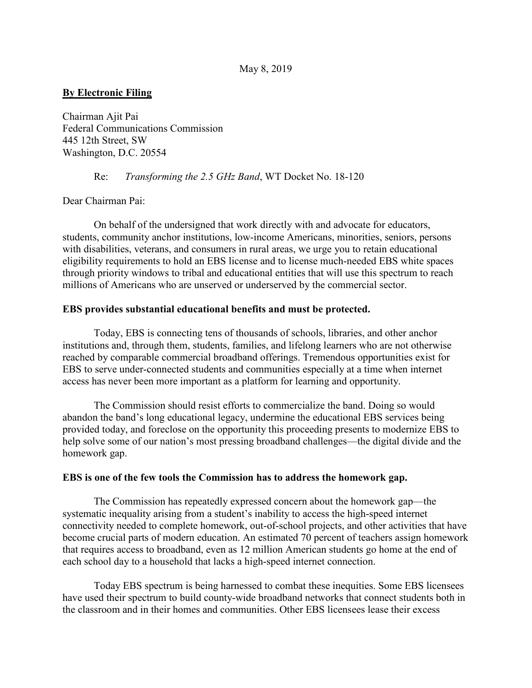## **By Electronic Filing**

Chairman Ajit Pai Federal Communications Commission 445 12th Street, SW Washington, D.C. 20554

Re: *Transforming the 2.5 GHz Band*, WT Docket No. 18-120

Dear Chairman Pai:

On behalf of the undersigned that work directly with and advocate for educators, students, community anchor institutions, low-income Americans, minorities, seniors, persons with disabilities, veterans, and consumers in rural areas, we urge you to retain educational eligibility requirements to hold an EBS license and to license much-needed EBS white spaces through priority windows to tribal and educational entities that will use this spectrum to reach millions of Americans who are unserved or underserved by the commercial sector.

## **EBS provides substantial educational benefits and must be protected.**

Today, EBS is connecting tens of thousands of schools, libraries, and other anchor institutions and, through them, students, families, and lifelong learners who are not otherwise reached by comparable commercial broadband offerings. Tremendous opportunities exist for EBS to serve under-connected students and communities especially at a time when internet access has never been more important as a platform for learning and opportunity.

The Commission should resist efforts to commercialize the band. Doing so would abandon the band's long educational legacy, undermine the educational EBS services being provided today, and foreclose on the opportunity this proceeding presents to modernize EBS to help solve some of our nation's most pressing broadband challenges—the digital divide and the homework gap.

## **EBS is one of the few tools the Commission has to address the homework gap.**

The Commission has repeatedly expressed concern about the homework gap—the systematic inequality arising from a student's inability to access the high-speed internet connectivity needed to complete homework, out-of-school projects, and other activities that have become crucial parts of modern education. An estimated 70 percent of teachers assign homework that requires access to broadband, even as 12 million American students go home at the end of each school day to a household that lacks a high-speed internet connection.

Today EBS spectrum is being harnessed to combat these inequities. Some EBS licensees have used their spectrum to build county-wide broadband networks that connect students both in the classroom and in their homes and communities. Other EBS licensees lease their excess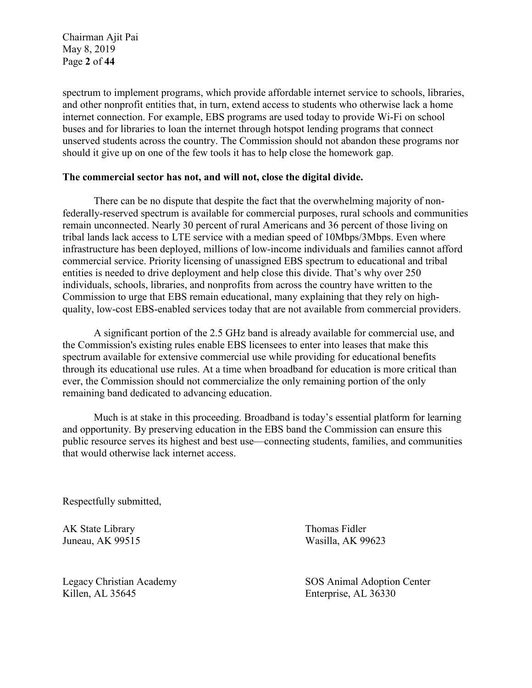Chairman Ajit Pai May 8, 2019 Page **2** of **44**

spectrum to implement programs, which provide affordable internet service to schools, libraries, and other nonprofit entities that, in turn, extend access to students who otherwise lack a home internet connection. For example, EBS programs are used today to provide Wi-Fi on school buses and for libraries to loan the internet through hotspot lending programs that connect unserved students across the country. The Commission should not abandon these programs nor should it give up on one of the few tools it has to help close the homework gap.

## **The commercial sector has not, and will not, close the digital divide.**

There can be no dispute that despite the fact that the overwhelming majority of nonfederally-reserved spectrum is available for commercial purposes, rural schools and communities remain unconnected. Nearly 30 percent of rural Americans and 36 percent of those living on tribal lands lack access to LTE service with a median speed of 10Mbps/3Mbps. Even where infrastructure has been deployed, millions of low-income individuals and families cannot afford commercial service. Priority licensing of unassigned EBS spectrum to educational and tribal entities is needed to drive deployment and help close this divide. That's why over 250 individuals, schools, libraries, and nonprofits from across the country have written to the Commission to urge that EBS remain educational, many explaining that they rely on highquality, low-cost EBS-enabled services today that are not available from commercial providers.

A significant portion of the 2.5 GHz band is already available for commercial use, and the Commission's existing rules enable EBS licensees to enter into leases that make this spectrum available for extensive commercial use while providing for educational benefits through its educational use rules. At a time when broadband for education is more critical than ever, the Commission should not commercialize the only remaining portion of the only remaining band dedicated to advancing education.

Much is at stake in this proceeding. Broadband is today's essential platform for learning and opportunity. By preserving education in the EBS band the Commission can ensure this public resource serves its highest and best use—connecting students, families, and communities that would otherwise lack internet access.

Respectfully submitted,

AK State Library Juneau, AK 99515

Legacy Christian Academy Killen, AL 35645

Thomas Fidler Wasilla, AK 99623

SOS Animal Adoption Center Enterprise, AL 36330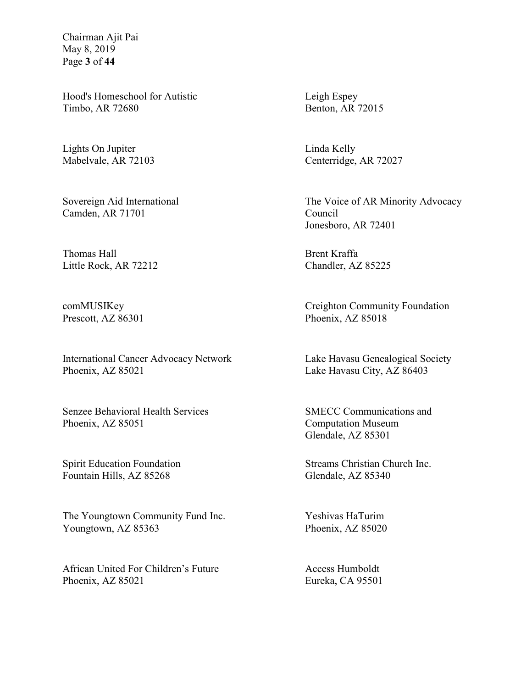Chairman Ajit Pai May 8, 2019 Page **3** of **44**

Hood's Homeschool for Autistic Timbo, AR 72680

Lights On Jupiter Mabelvale, AR 72103

Sovereign Aid International Camden, AR 71701

Thomas Hall Little Rock, AR 72212

comMUSIKey Prescott, AZ 86301

International Cancer Advocacy Network Phoenix, AZ 85021

Senzee Behavioral Health Services Phoenix, AZ 85051

Spirit Education Foundation Fountain Hills, AZ 85268

The Youngtown Community Fund Inc. Youngtown, AZ 85363

African United For Children's Future Phoenix, AZ 85021

Leigh Espey Benton, AR 72015

Linda Kelly Centerridge, AR 72027

The Voice of AR Minority Advocacy Council Jonesboro, AR 72401

Brent Kraffa Chandler, AZ 85225

Creighton Community Foundation Phoenix, AZ 85018

Lake Havasu Genealogical Society Lake Havasu City, AZ 86403

SMECC Communications and Computation Museum Glendale, AZ 85301

Streams Christian Church Inc. Glendale, AZ 85340

Yeshivas HaTurim Phoenix, AZ 85020

Access Humboldt Eureka, CA 95501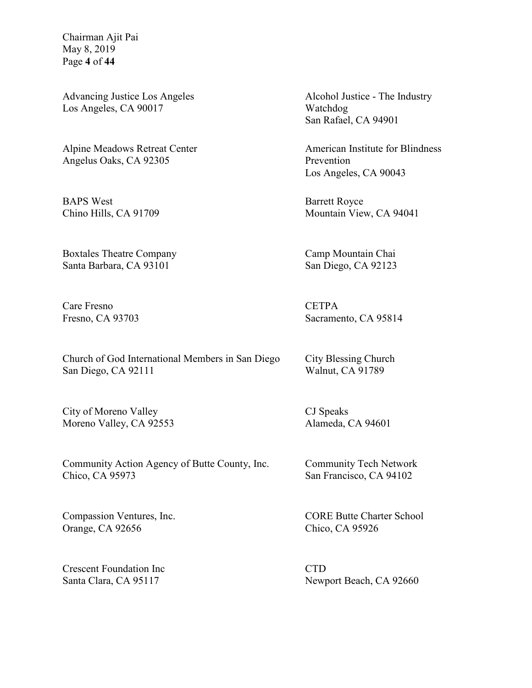Chairman Ajit Pai May 8, 2019 Page **4** of **44**

Advancing Justice Los Angeles Los Angeles, CA 90017

Alpine Meadows Retreat Center Angelus Oaks, CA 92305

BAPS West Chino Hills, CA 91709

Boxtales Theatre Company Santa Barbara, CA 93101

Care Fresno Fresno, CA 93703

Church of God International Members in San Diego San Diego, CA 92111

City of Moreno Valley Moreno Valley, CA 92553

Community Action Agency of Butte County, Inc. Chico, CA 95973

Compassion Ventures, Inc. Orange, CA 92656

Crescent Foundation Inc Santa Clara, CA 95117

Alcohol Justice - The Industry Watchdog San Rafael, CA 94901

American Institute for Blindness Prevention Los Angeles, CA 90043

Barrett Royce Mountain View, CA 94041

Camp Mountain Chai San Diego, CA 92123

**CETPA** Sacramento, CA 95814

City Blessing Church Walnut, CA 91789

CJ Speaks Alameda, CA 94601

Community Tech Network San Francisco, CA 94102

CORE Butte Charter School Chico, CA 95926

CTD Newport Beach, CA 92660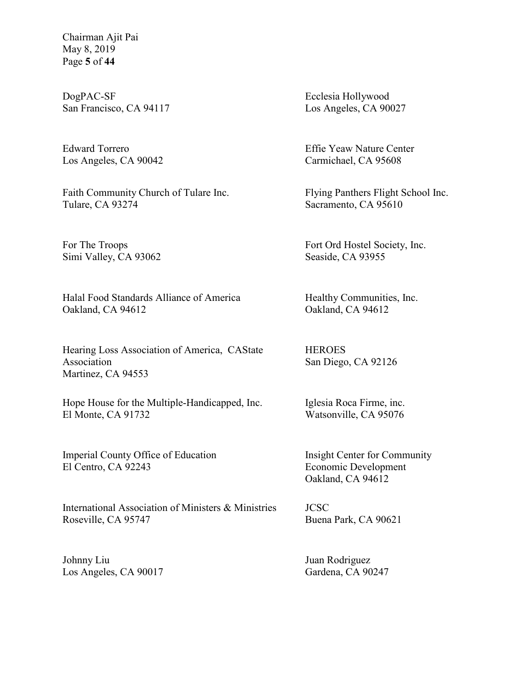Chairman Ajit Pai May 8, 2019 Page **5** of **44**

DogPAC-SF San Francisco, CA 94117

Edward Torrero Los Angeles, CA 90042

Faith Community Church of Tulare Inc. Tulare, CA 93274

For The Troops Simi Valley, CA 93062

Halal Food Standards Alliance of America Oakland, CA 94612

Hearing Loss Association of America, CAState Association Martinez, CA 94553

Hope House for the Multiple-Handicapped, Inc. El Monte, CA 91732

Imperial County Office of Education El Centro, CA 92243

International Association of Ministers & Ministries Roseville, CA 95747

Johnny Liu Los Angeles, CA 90017 Ecclesia Hollywood Los Angeles, CA 90027

Effie Yeaw Nature Center Carmichael, CA 95608

Flying Panthers Flight School Inc. Sacramento, CA 95610

Fort Ord Hostel Society, Inc. Seaside, CA 93955

Healthy Communities, Inc. Oakland, CA 94612

**HEROES** San Diego, CA 92126

Iglesia Roca Firme, inc. Watsonville, CA 95076

Insight Center for Community Economic Development Oakland, CA 94612

JCSC Buena Park, CA 90621

Juan Rodriguez Gardena, CA 90247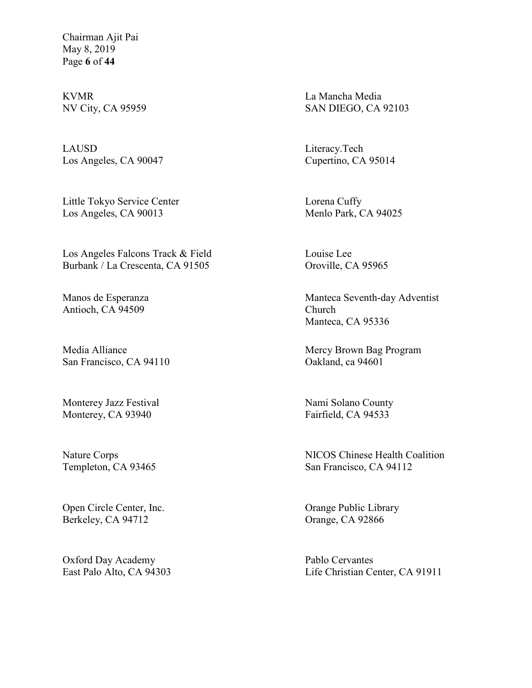Chairman Ajit Pai May 8, 2019 Page **6** of **44**

KVMR NV City, CA 95959

LAUSD Los Angeles, CA 90047

Little Tokyo Service Center Los Angeles, CA 90013

Los Angeles Falcons Track & Field Burbank / La Crescenta, CA 91505

Manos de Esperanza Antioch, CA 94509

Media Alliance San Francisco, CA 94110

Monterey Jazz Festival Monterey, CA 93940

Nature Corps Templeton, CA 93465

Open Circle Center, Inc. Berkeley, CA 94712

Oxford Day Academy East Palo Alto, CA 94303 La Mancha Media SAN DIEGO, CA 92103

Literacy.Tech Cupertino, CA 95014

Lorena Cuffy Menlo Park, CA 94025

Louise Lee Oroville, CA 95965

Manteca Seventh-day Adventist Church Manteca, CA 95336

Mercy Brown Bag Program Oakland, ca 94601

Nami Solano County Fairfield, CA 94533

NICOS Chinese Health Coalition San Francisco, CA 94112

Orange Public Library Orange, CA 92866

Pablo Cervantes Life Christian Center, CA 91911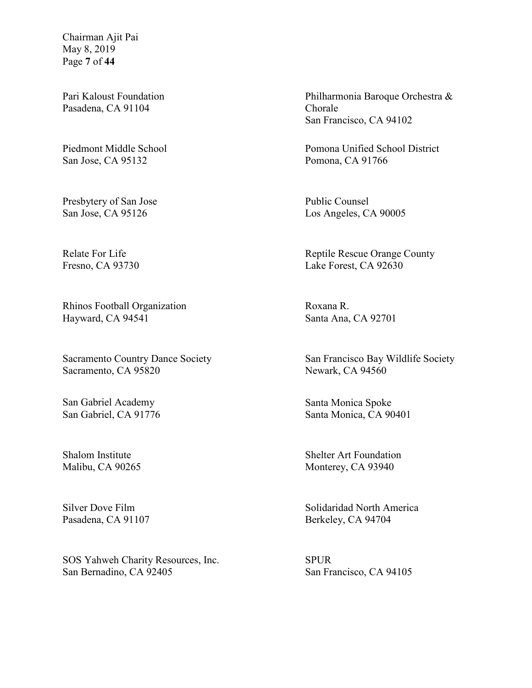Chairman Ajit Pai May 8, 2019 Page **7** of **44**

Pari Kaloust Foundation Pasadena, CA 91104

Piedmont Middle School San Jose, CA 95132

Presbytery of San Jose San Jose, CA 95126

Relate For Life Fresno, CA 93730

Rhinos Football Organization Hayward, CA 94541

Sacramento Country Dance Society Sacramento, CA 95820

San Gabriel Academy San Gabriel, CA 91776

Shalom Institute Malibu, CA 90265

Silver Dove Film Pasadena, CA 91107

SOS Yahweh Charity Resources, Inc. San Bernadino, CA 92405

Philharmonia Baroque Orchestra & Chorale San Francisco, CA 94102

Pomona Unified School District Pomona, CA 91766

Public Counsel Los Angeles, CA 90005

Reptile Rescue Orange County Lake Forest, CA 92630

Roxana R. Santa Ana, CA 92701

San Francisco Bay Wildlife Society Newark, CA 94560

Santa Monica Spoke Santa Monica, CA 90401

Shelter Art Foundation Monterey, CA 93940

Solidaridad North America Berkeley, CA 94704

SPUR San Francisco, CA 94105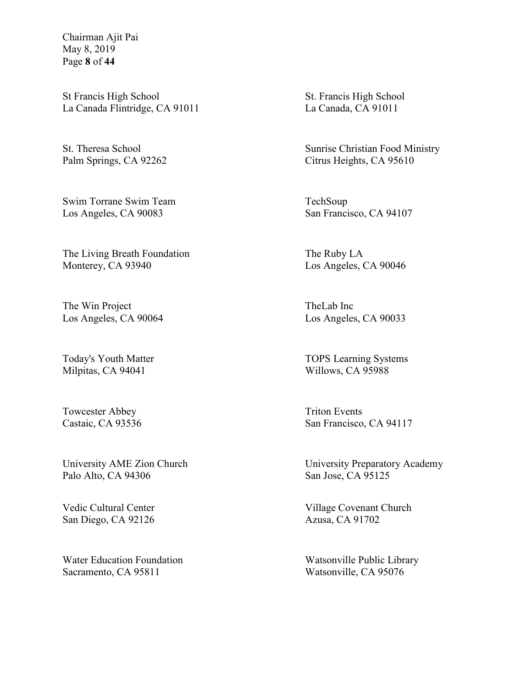Chairman Ajit Pai May 8, 2019 Page **8** of **44**

St Francis High School La Canada Flintridge, CA 91011

St. Theresa School Palm Springs, CA 92262

Swim Torrane Swim Team Los Angeles, CA 90083

The Living Breath Foundation Monterey, CA 93940

The Win Project Los Angeles, CA 90064

Today's Youth Matter Milpitas, CA 94041

Towcester Abbey Castaic, CA 93536

University AME Zion Church Palo Alto, CA 94306

Vedic Cultural Center San Diego, CA 92126

Water Education Foundation Sacramento, CA 95811

St. Francis High School La Canada, CA 91011

Sunrise Christian Food Ministry Citrus Heights, CA 95610

TechSoup San Francisco, CA 94107

The Ruby LA Los Angeles, CA 90046

TheLab Inc Los Angeles, CA 90033

TOPS Learning Systems Willows, CA 95988

Triton Events San Francisco, CA 94117

University Preparatory Academy San Jose, CA 95125

Village Covenant Church Azusa, CA 91702

Watsonville Public Library Watsonville, CA 95076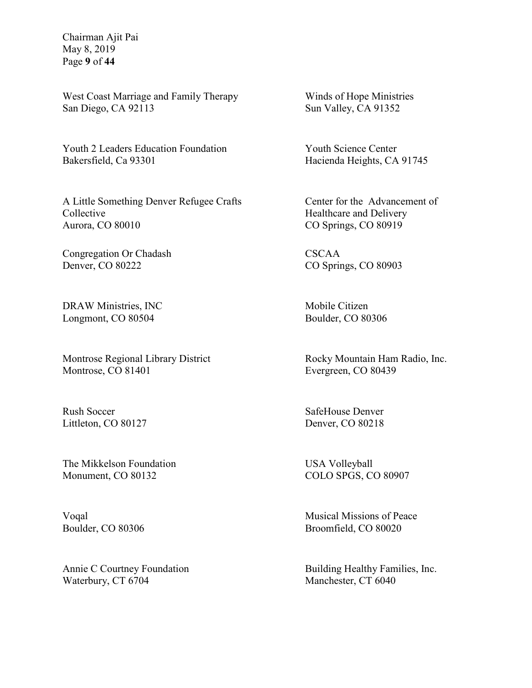Chairman Ajit Pai May 8, 2019 Page **9** of **44**

West Coast Marriage and Family Therapy San Diego, CA 92113

Youth 2 Leaders Education Foundation Bakersfield, Ca 93301

A Little Something Denver Refugee Crafts Collective Aurora, CO 80010

Congregation Or Chadash Denver, CO 80222

DRAW Ministries, INC Longmont, CO 80504

Montrose Regional Library District Montrose, CO 81401

Rush Soccer Littleton, CO 80127

The Mikkelson Foundation Monument, CO 80132

Voqal Boulder, CO 80306

Annie C Courtney Foundation Waterbury, CT 6704

Winds of Hope Ministries Sun Valley, CA 91352

Youth Science Center Hacienda Heights, CA 91745

Center for the Advancement of Healthcare and Delivery CO Springs, CO 80919

CSCAA CO Springs, CO 80903

Mobile Citizen Boulder, CO 80306

Rocky Mountain Ham Radio, Inc. Evergreen, CO 80439

SafeHouse Denver Denver, CO 80218

USA Volleyball COLO SPGS, CO 80907

Musical Missions of Peace Broomfield, CO 80020

Building Healthy Families, Inc. Manchester, CT 6040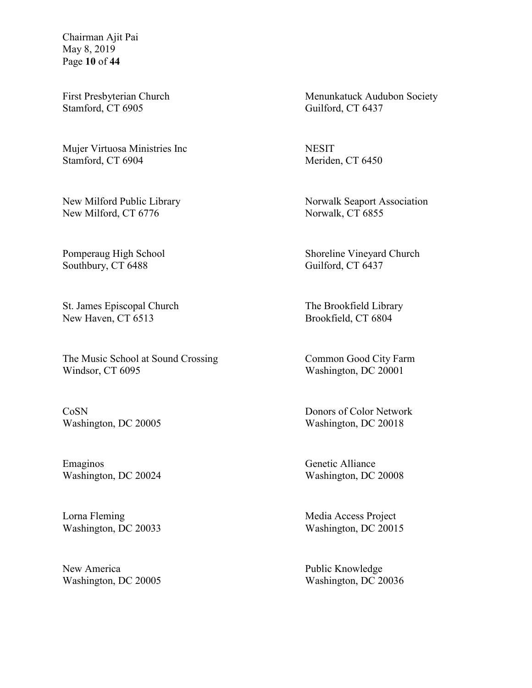Chairman Ajit Pai May 8, 2019 Page **10** of **44**

First Presbyterian Church Stamford, CT 6905

Mujer Virtuosa Ministries Inc Stamford, CT 6904

New Milford Public Library New Milford, CT 6776

Pomperaug High School Southbury, CT 6488

St. James Episcopal Church New Haven, CT 6513

The Music School at Sound Crossing Windsor, CT 6095

CoSN Washington, DC 20005

Emaginos Washington, DC 20024

Lorna Fleming Washington, DC 20033

New America Washington, DC 20005 Menunkatuck Audubon Society Guilford, CT 6437

**NESIT** Meriden, CT 6450

Norwalk Seaport Association Norwalk, CT 6855

Shoreline Vineyard Church Guilford, CT 6437

The Brookfield Library Brookfield, CT 6804

Common Good City Farm Washington, DC 20001

Donors of Color Network Washington, DC 20018

Genetic Alliance Washington, DC 20008

Media Access Project Washington, DC 20015

Public Knowledge Washington, DC 20036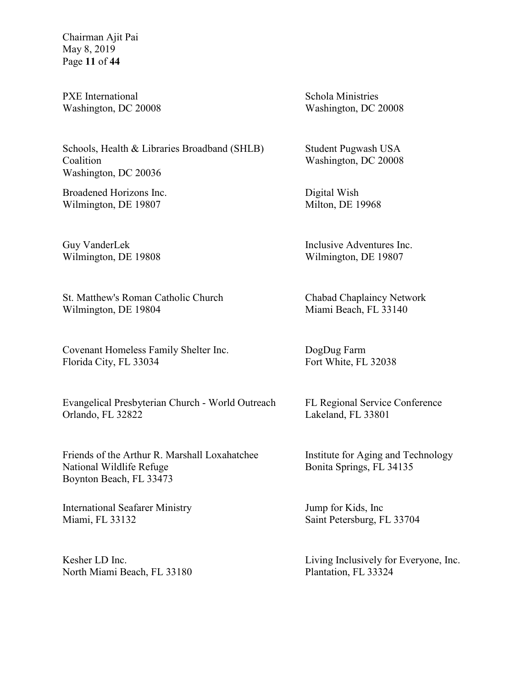Chairman Ajit Pai May 8, 2019 Page **11** of **44**

PXE International Washington, DC 20008

Schools, Health & Libraries Broadband (SHLB) Coalition Washington, DC 20036

Broadened Horizons Inc. Wilmington, DE 19807

Guy VanderLek Wilmington, DE 19808

St. Matthew's Roman Catholic Church Wilmington, DE 19804

Covenant Homeless Family Shelter Inc. Florida City, FL 33034

Evangelical Presbyterian Church - World Outreach Orlando, FL 32822

Friends of the Arthur R. Marshall Loxahatchee National Wildlife Refuge Boynton Beach, FL 33473

International Seafarer Ministry Miami, FL 33132

Kesher LD Inc. North Miami Beach, FL 33180 Schola Ministries Washington, DC 20008

Student Pugwash USA Washington, DC 20008

Digital Wish Milton, DE 19968

Inclusive Adventures Inc. Wilmington, DE 19807

Chabad Chaplaincy Network Miami Beach, FL 33140

DogDug Farm Fort White, FL 32038

FL Regional Service Conference Lakeland, FL 33801

Institute for Aging and Technology Bonita Springs, FL 34135

Jump for Kids, Inc Saint Petersburg, FL 33704

Living Inclusively for Everyone, Inc. Plantation, FL 33324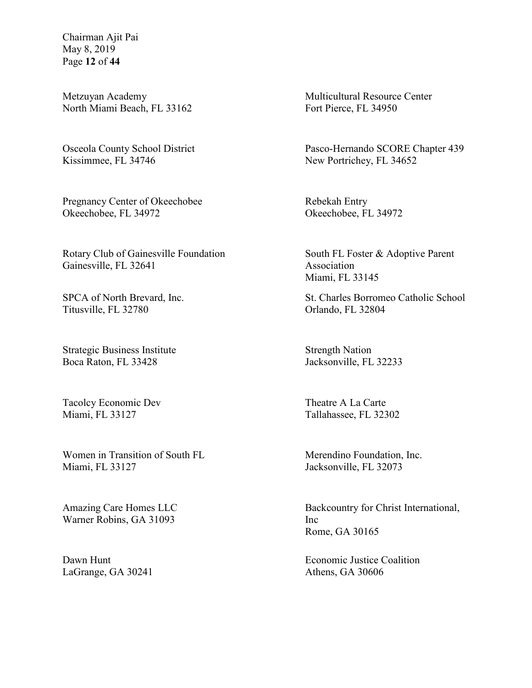Chairman Ajit Pai May 8, 2019 Page **12** of **44**

Metzuyan Academy North Miami Beach, FL 33162

Osceola County School District Kissimmee, FL 34746

Pregnancy Center of Okeechobee Okeechobee, FL 34972

Rotary Club of Gainesville Foundation Gainesville, FL 32641

SPCA of North Brevard, Inc. Titusville, FL 32780

Strategic Business Institute Boca Raton, FL 33428

Tacolcy Economic Dev Miami, FL 33127

Women in Transition of South FL Miami, FL 33127

Amazing Care Homes LLC Warner Robins, GA 31093

Dawn Hunt LaGrange, GA 30241 Multicultural Resource Center Fort Pierce, FL 34950

Pasco-Hernando SCORE Chapter 439 New Portrichey, FL 34652

Rebekah Entry Okeechobee, FL 34972

South FL Foster & Adoptive Parent Association Miami, FL 33145

St. Charles Borromeo Catholic School Orlando, FL 32804

Strength Nation Jacksonville, FL 32233

Theatre A La Carte Tallahassee, FL 32302

Merendino Foundation, Inc. Jacksonville, FL 32073

Backcountry for Christ International, Inc Rome, GA 30165

Economic Justice Coalition Athens, GA 30606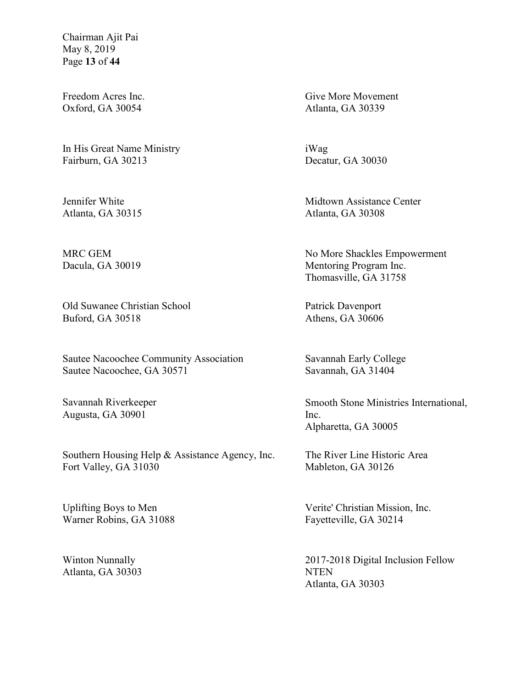Chairman Ajit Pai May 8, 2019 Page **13** of **44**

Freedom Acres Inc. Oxford, GA 30054

In His Great Name Ministry Fairburn, GA 30213

Jennifer White Atlanta, GA 30315

MRC GEM Dacula, GA 30019

Old Suwanee Christian School Buford, GA 30518

Sautee Nacoochee Community Association Sautee Nacoochee, GA 30571

Savannah Riverkeeper Augusta, GA 30901

Southern Housing Help & Assistance Agency, Inc. Fort Valley, GA 31030

Uplifting Boys to Men Warner Robins, GA 31088

Winton Nunnally Atlanta, GA 30303 Give More Movement Atlanta, GA 30339

iWag Decatur, GA 30030

Midtown Assistance Center Atlanta, GA 30308

No More Shackles Empowerment Mentoring Program Inc. Thomasville, GA 31758

Patrick Davenport Athens, GA 30606

Savannah Early College Savannah, GA 31404

Smooth Stone Ministries International, Inc. Alpharetta, GA 30005

The River Line Historic Area Mableton, GA 30126

Verite' Christian Mission, Inc. Fayetteville, GA 30214

2017-2018 Digital Inclusion Fellow NTEN Atlanta, GA 30303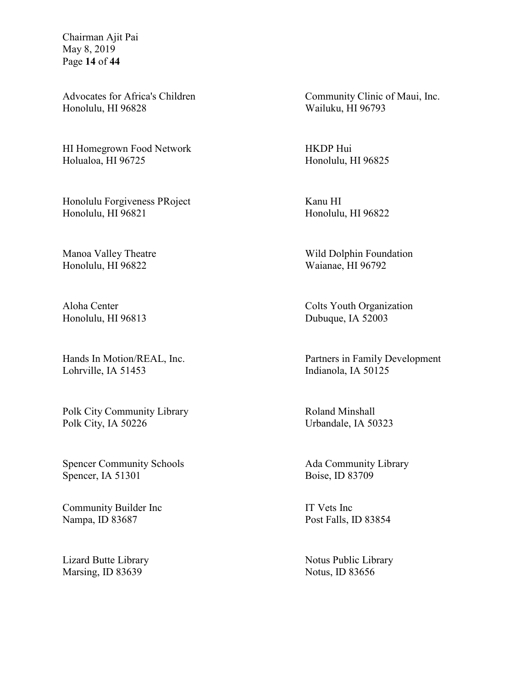Chairman Ajit Pai May 8, 2019 Page **14** of **44**

Advocates for Africa's Children Honolulu, HI 96828

HI Homegrown Food Network Holualoa, HI 96725

Honolulu Forgiveness PRoject Honolulu, HI 96821

Manoa Valley Theatre Honolulu, HI 96822

Aloha Center Honolulu, HI 96813

Hands In Motion/REAL, Inc. Lohrville, IA 51453

Polk City Community Library Polk City, IA 50226

Spencer Community Schools Spencer, IA 51301

Community Builder Inc Nampa, ID 83687

Lizard Butte Library Marsing, ID 83639

Community Clinic of Maui, Inc. Wailuku, HI 96793

HKDP Hui Honolulu, HI 96825

Kanu HI Honolulu, HI 96822

Wild Dolphin Foundation Waianae, HI 96792

Colts Youth Organization Dubuque, IA 52003

Partners in Family Development Indianola, IA 50125

Roland Minshall Urbandale, IA 50323

Ada Community Library Boise, ID 83709

IT Vets Inc Post Falls, ID 83854

Notus Public Library Notus, ID 83656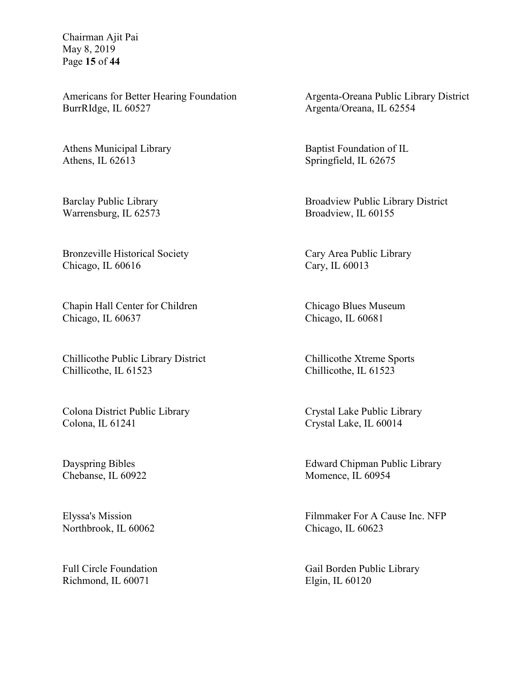Chairman Ajit Pai May 8, 2019 Page **15** of **44**

Americans for Better Hearing Foundation BurrRIdge, IL 60527

Athens Municipal Library Athens, IL 62613

Barclay Public Library Warrensburg, IL 62573

Bronzeville Historical Society Chicago, IL 60616

Chapin Hall Center for Children Chicago, IL 60637

Chillicothe Public Library District Chillicothe, IL 61523

Colona District Public Library Colona, IL 61241

Dayspring Bibles Chebanse, IL 60922

Elyssa's Mission Northbrook, IL 60062

Full Circle Foundation Richmond, IL 60071

Argenta-Oreana Public Library District Argenta/Oreana, IL 62554

Baptist Foundation of IL Springfield, IL 62675

Broadview Public Library District Broadview, IL 60155

Cary Area Public Library Cary, IL 60013

Chicago Blues Museum Chicago, IL 60681

Chillicothe Xtreme Sports Chillicothe, IL 61523

Crystal Lake Public Library Crystal Lake, IL 60014

Edward Chipman Public Library Momence, IL 60954

Filmmaker For A Cause Inc. NFP Chicago, IL 60623

Gail Borden Public Library Elgin, IL 60120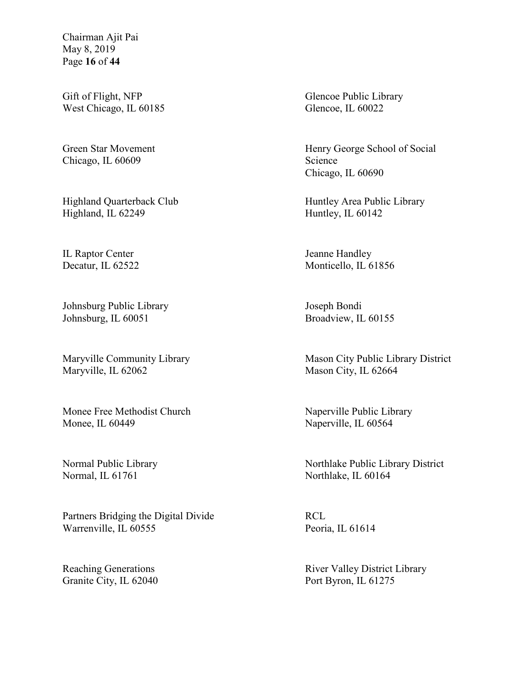Chairman Ajit Pai May 8, 2019 Page **16** of **44**

Gift of Flight, NFP West Chicago, IL 60185

Green Star Movement Chicago, IL 60609

Highland Quarterback Club Highland, IL 62249

IL Raptor Center Decatur, IL 62522

Johnsburg Public Library Johnsburg, IL 60051

Maryville Community Library Maryville, IL 62062

Monee Free Methodist Church Monee, IL 60449

Normal Public Library Normal, IL 61761

Partners Bridging the Digital Divide Warrenville, IL 60555

Reaching Generations Granite City, IL 62040 Glencoe Public Library Glencoe, IL 60022

Henry George School of Social Science Chicago, IL 60690

Huntley Area Public Library Huntley, IL 60142

Jeanne Handley Monticello, IL 61856

Joseph Bondi Broadview, IL 60155

Mason City Public Library District Mason City, IL 62664

Naperville Public Library Naperville, IL 60564

Northlake Public Library District Northlake, IL 60164

RCL Peoria, IL 61614

River Valley District Library Port Byron, IL 61275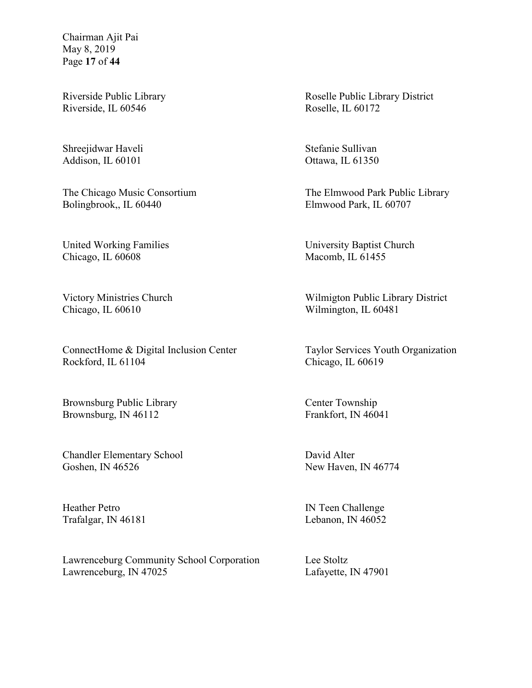Chairman Ajit Pai May 8, 2019 Page **17** of **44**

Riverside Public Library Riverside, IL 60546

Shreejidwar Haveli Addison, IL 60101

The Chicago Music Consortium Bolingbrook,, IL 60440

United Working Families Chicago, IL 60608

Victory Ministries Church Chicago, IL 60610

ConnectHome & Digital Inclusion Center Rockford, IL 61104

Brownsburg Public Library Brownsburg, IN 46112

Chandler Elementary School Goshen, IN 46526

Heather Petro Trafalgar, IN 46181

Lawrenceburg Community School Corporation Lawrenceburg, IN 47025

Roselle Public Library District Roselle, IL 60172

Stefanie Sullivan Ottawa, IL 61350

The Elmwood Park Public Library Elmwood Park, IL 60707

University Baptist Church Macomb, IL 61455

Wilmigton Public Library District Wilmington, IL 60481

Taylor Services Youth Organization Chicago, IL 60619

Center Township Frankfort, IN 46041

David Alter New Haven, IN 46774

IN Teen Challenge Lebanon, IN 46052

Lee Stoltz Lafayette, IN 47901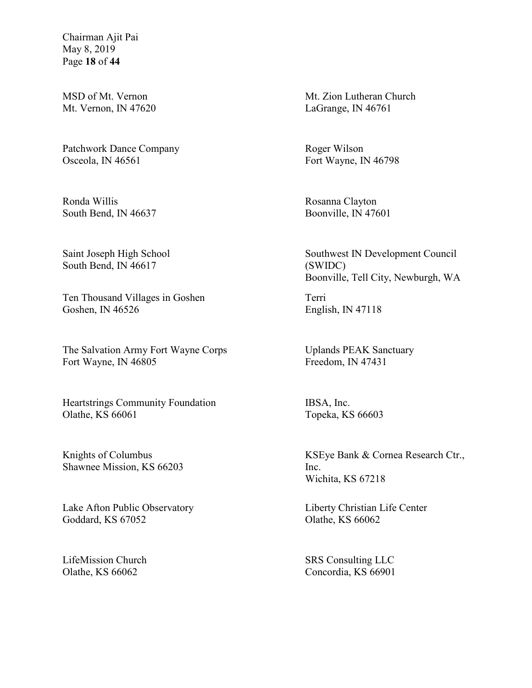Chairman Ajit Pai May 8, 2019 Page **18** of **44**

MSD of Mt. Vernon Mt. Vernon, IN 47620

Patchwork Dance Company Osceola, IN 46561

Ronda Willis South Bend, IN 46637

Saint Joseph High School South Bend, IN 46617

Ten Thousand Villages in Goshen Goshen, IN 46526

The Salvation Army Fort Wayne Corps Fort Wayne, IN 46805

Heartstrings Community Foundation Olathe, KS 66061

Knights of Columbus Shawnee Mission, KS 66203

Lake Afton Public Observatory Goddard, KS 67052

LifeMission Church Olathe, KS 66062

Mt. Zion Lutheran Church LaGrange, IN 46761

Roger Wilson Fort Wayne, IN 46798

Rosanna Clayton Boonville, IN 47601

Southwest IN Development Council (SWIDC) Boonville, Tell City, Newburgh, WA

Terri English, IN 47118

Uplands PEAK Sanctuary Freedom, IN 47431

IBSA, Inc. Topeka, KS 66603

KSEye Bank & Cornea Research Ctr., Inc. Wichita, KS 67218

Liberty Christian Life Center Olathe, KS 66062

SRS Consulting LLC Concordia, KS 66901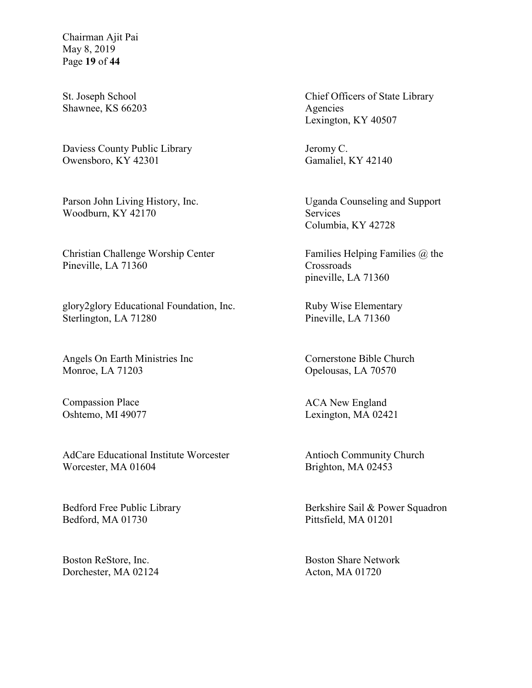Chairman Ajit Pai May 8, 2019 Page **19** of **44**

St. Joseph School Shawnee, KS 66203

Daviess County Public Library Owensboro, KY 42301

Parson John Living History, Inc. Woodburn, KY 42170

Christian Challenge Worship Center Pineville, LA 71360

glory2glory Educational Foundation, Inc. Sterlington, LA 71280

Angels On Earth Ministries Inc Monroe, LA 71203

Compassion Place Oshtemo, MI 49077

AdCare Educational Institute Worcester Worcester, MA 01604

Bedford Free Public Library Bedford, MA 01730

Boston ReStore, Inc. Dorchester, MA 02124 Chief Officers of State Library Agencies Lexington, KY 40507

Jeromy C. Gamaliel, KY 42140

Uganda Counseling and Support Services Columbia, KY 42728

Families Helping Families @ the Crossroads pineville, LA 71360

Ruby Wise Elementary Pineville, LA 71360

Cornerstone Bible Church Opelousas, LA 70570

ACA New England Lexington, MA 02421

Antioch Community Church Brighton, MA 02453

Berkshire Sail & Power Squadron Pittsfield, MA 01201

Boston Share Network Acton, MA 01720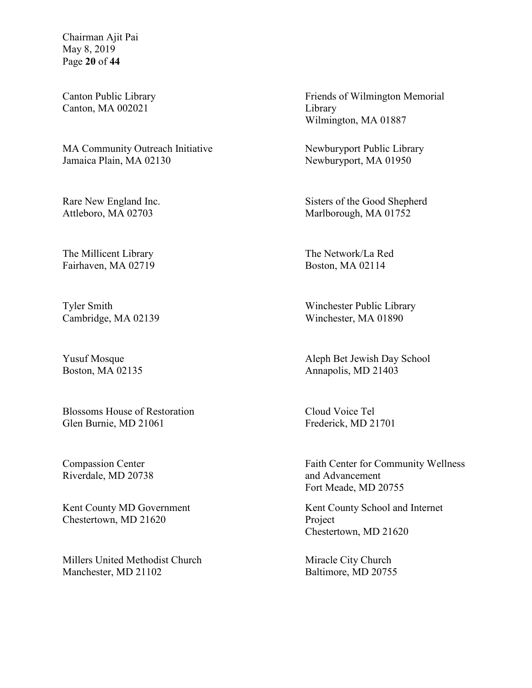Chairman Ajit Pai May 8, 2019 Page **20** of **44**

Canton Public Library Canton, MA 002021

MA Community Outreach Initiative Jamaica Plain, MA 02130

Rare New England Inc. Attleboro, MA 02703

The Millicent Library Fairhaven, MA 02719

Tyler Smith Cambridge, MA 02139

Yusuf Mosque Boston, MA 02135

Blossoms House of Restoration Glen Burnie, MD 21061

Compassion Center Riverdale, MD 20738

Kent County MD Government Chestertown, MD 21620

Millers United Methodist Church Manchester, MD 21102

Friends of Wilmington Memorial Library Wilmington, MA 01887

Newburyport Public Library Newburyport, MA 01950

Sisters of the Good Shepherd Marlborough, MA 01752

The Network/La Red Boston, MA 02114

Winchester Public Library Winchester, MA 01890

Aleph Bet Jewish Day School Annapolis, MD 21403

Cloud Voice Tel Frederick, MD 21701

Faith Center for Community Wellness and Advancement Fort Meade, MD 20755

Kent County School and Internet Project Chestertown, MD 21620

Miracle City Church Baltimore, MD 20755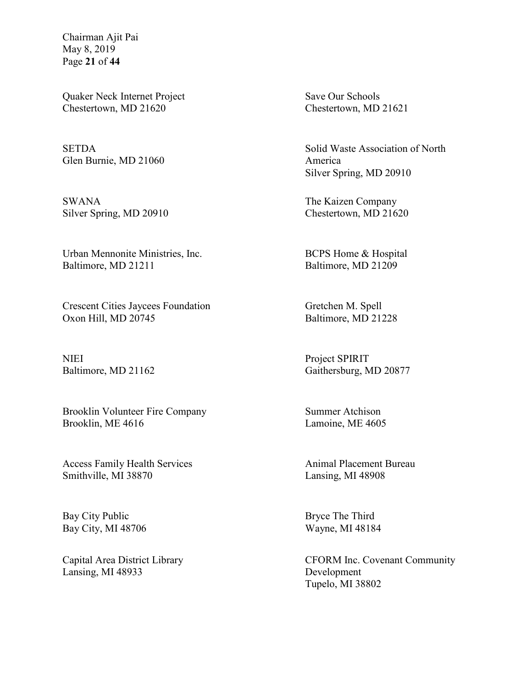Chairman Ajit Pai May 8, 2019 Page **21** of **44**

Quaker Neck Internet Project Chestertown, MD 21620

SETDA Glen Burnie, MD 21060

SWANA Silver Spring, MD 20910

Urban Mennonite Ministries, Inc. Baltimore, MD 21211

Crescent Cities Jaycees Foundation Oxon Hill, MD 20745

NIEI Baltimore, MD 21162

Brooklin Volunteer Fire Company Brooklin, ME 4616

Access Family Health Services Smithville, MI 38870

Bay City Public Bay City, MI 48706

Capital Area District Library Lansing, MI 48933

Save Our Schools Chestertown, MD 21621

Solid Waste Association of North America Silver Spring, MD 20910

The Kaizen Company Chestertown, MD 21620

BCPS Home & Hospital Baltimore, MD 21209

Gretchen M. Spell Baltimore, MD 21228

Project SPIRIT Gaithersburg, MD 20877

Summer Atchison Lamoine, ME 4605

Animal Placement Bureau Lansing, MI 48908

Bryce The Third Wayne, MI 48184

CFORM Inc. Covenant Community Development Tupelo, MI 38802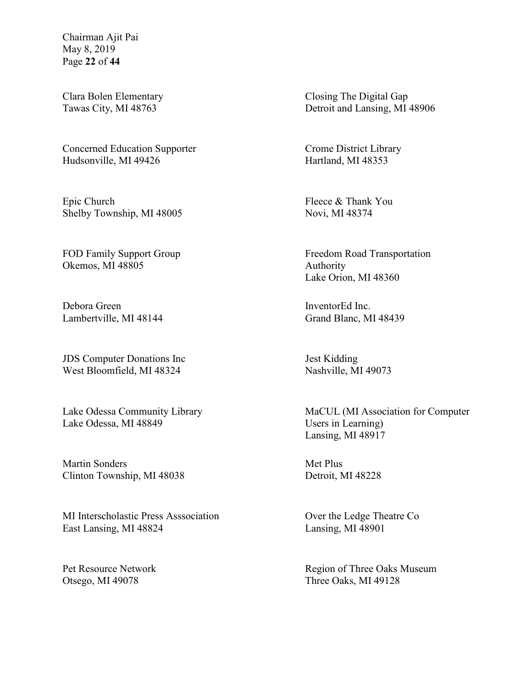Chairman Ajit Pai May 8, 2019 Page **22** of **44**

Clara Bolen Elementary Tawas City, MI 48763

Concerned Education Supporter Hudsonville, MI 49426

Epic Church Shelby Township, MI 48005

FOD Family Support Group Okemos, MI 48805

Debora Green Lambertville, MI 48144

JDS Computer Donations Inc West Bloomfield, MI 48324

Lake Odessa Community Library Lake Odessa, MI 48849

Martin Sonders Clinton Township, MI 48038

MI Interscholastic Press Asssociation East Lansing, MI 48824

Pet Resource Network Otsego, MI 49078

Closing The Digital Gap Detroit and Lansing, MI 48906

Crome District Library Hartland, MI 48353

Fleece & Thank You Novi, MI 48374

Freedom Road Transportation Authority Lake Orion, MI 48360

InventorEd Inc. Grand Blanc, MI 48439

Jest Kidding Nashville, MI 49073

MaCUL (MI Association for Computer Users in Learning) Lansing, MI 48917

Met Plus Detroit, MI 48228

Over the Ledge Theatre Co Lansing, MI 48901

Region of Three Oaks Museum Three Oaks, MI 49128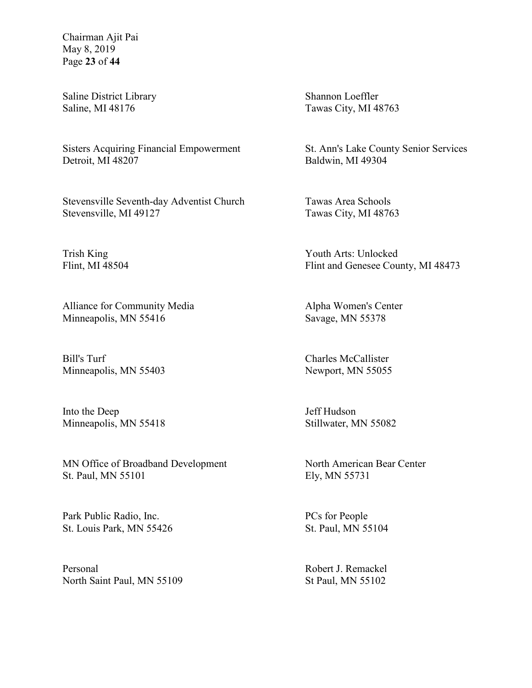Chairman Ajit Pai May 8, 2019 Page **23** of **44**

Saline District Library Saline, MI 48176

Sisters Acquiring Financial Empowerment Detroit, MI 48207

Stevensville Seventh-day Adventist Church Stevensville, MI 49127

Trish King Flint, MI 48504

Alliance for Community Media Minneapolis, MN 55416

Bill's Turf Minneapolis, MN 55403

Into the Deep Minneapolis, MN 55418

MN Office of Broadband Development St. Paul, MN 55101

Park Public Radio, Inc. St. Louis Park, MN 55426

Personal North Saint Paul, MN 55109 Shannon Loeffler Tawas City, MI 48763

St. Ann's Lake County Senior Services Baldwin, MI 49304

Tawas Area Schools Tawas City, MI 48763

Youth Arts: Unlocked Flint and Genesee County, MI 48473

Alpha Women's Center Savage, MN 55378

Charles McCallister Newport, MN 55055

Jeff Hudson Stillwater, MN 55082

North American Bear Center Ely, MN 55731

PCs for People St. Paul, MN 55104

Robert J. Remackel St Paul, MN 55102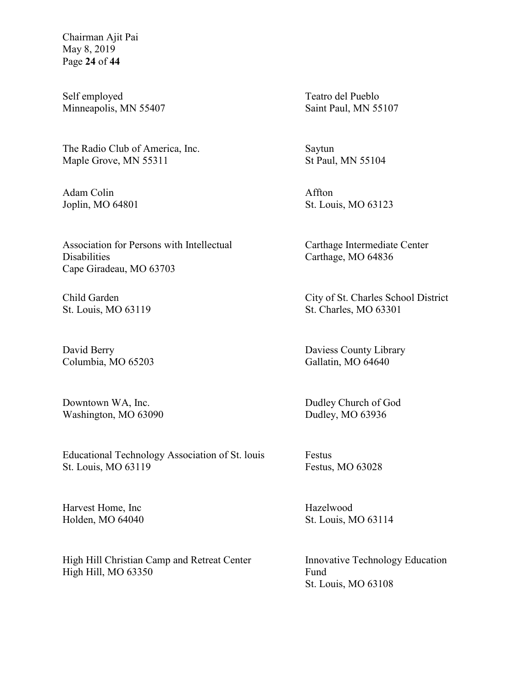Chairman Ajit Pai May 8, 2019 Page **24** of **44**

Self employed Minneapolis, MN 55407

The Radio Club of America, Inc. Maple Grove, MN 55311

Adam Colin Joplin, MO 64801

Association for Persons with Intellectual **Disabilities** Cape Giradeau, MO 63703

Child Garden St. Louis, MO 63119

David Berry Columbia, MO 65203

Downtown WA, Inc. Washington, MO 63090

Educational Technology Association of St. louis St. Louis, MO 63119

Harvest Home, Inc Holden, MO 64040

High Hill Christian Camp and Retreat Center High Hill, MO 63350

Teatro del Pueblo Saint Paul, MN 55107

Saytun St Paul, MN 55104

Affton St. Louis, MO 63123

Carthage Intermediate Center Carthage, MO 64836

City of St. Charles School District St. Charles, MO 63301

Daviess County Library Gallatin, MO 64640

Dudley Church of God Dudley, MO 63936

Festus Festus, MO 63028

Hazelwood St. Louis, MO 63114

Innovative Technology Education Fund St. Louis, MO 63108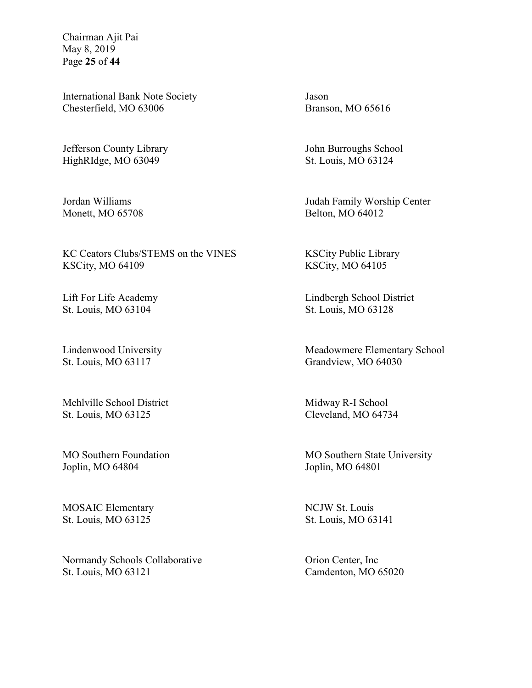Chairman Ajit Pai May 8, 2019 Page **25** of **44**

International Bank Note Society Chesterfield, MO 63006

Jefferson County Library HighRIdge, MO 63049

Jordan Williams Monett, MO 65708

KC Ceators Clubs/STEMS on the VINES KSCity, MO 64109

Lift For Life Academy St. Louis, MO 63104

Lindenwood University St. Louis, MO 63117

Mehlville School District St. Louis, MO 63125

MO Southern Foundation Joplin, MO 64804

MOSAIC Elementary St. Louis, MO 63125

Normandy Schools Collaborative St. Louis, MO 63121

Jason Branson, MO 65616

John Burroughs School St. Louis, MO 63124

Judah Family Worship Center Belton, MO 64012

KSCity Public Library KSCity, MO 64105

Lindbergh School District St. Louis, MO 63128

Meadowmere Elementary School Grandview, MO 64030

Midway R-I School Cleveland, MO 64734

MO Southern State University Joplin, MO 64801

NCJW St. Louis St. Louis, MO 63141

Orion Center, Inc Camdenton, MO 65020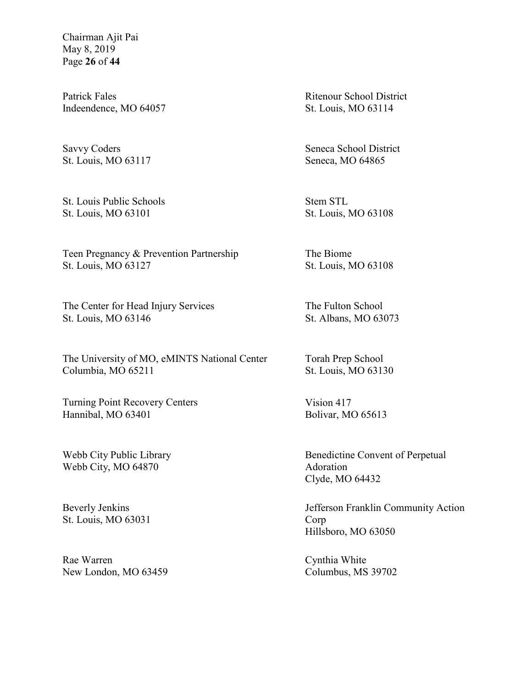Chairman Ajit Pai May 8, 2019 Page **26** of **44**

Patrick Fales Indeendence, MO 64057

Savvy Coders St. Louis, MO 63117

St. Louis Public Schools St. Louis, MO 63101

Teen Pregnancy & Prevention Partnership St. Louis, MO 63127

The Center for Head Injury Services St. Louis, MO 63146

The University of MO, eMINTS National Center Columbia, MO 65211

Turning Point Recovery Centers Hannibal, MO 63401

Webb City Public Library Webb City, MO 64870

Beverly Jenkins St. Louis, MO 63031

Rae Warren New London, MO 63459 Ritenour School District St. Louis, MO 63114

Seneca School District Seneca, MO 64865

Stem STL St. Louis, MO 63108

The Biome St. Louis, MO 63108

The Fulton School St. Albans, MO 63073

Torah Prep School St. Louis, MO 63130

Vision 417 Bolivar, MO 65613

Benedictine Convent of Perpetual Adoration Clyde, MO 64432

Jefferson Franklin Community Action Corp Hillsboro, MO 63050

Cynthia White Columbus, MS 39702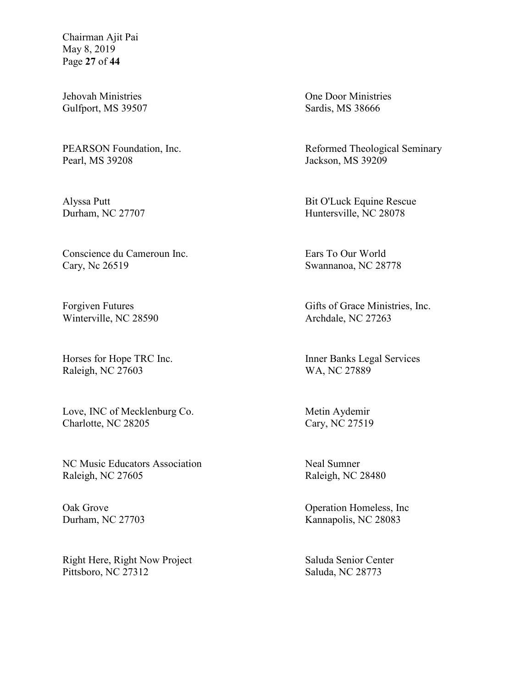Chairman Ajit Pai May 8, 2019 Page **27** of **44**

Jehovah Ministries Gulfport, MS 39507

PEARSON Foundation, Inc. Pearl, MS 39208

Alyssa Putt Durham, NC 27707

Conscience du Cameroun Inc. Cary, Nc 26519

Forgiven Futures Winterville, NC 28590

Horses for Hope TRC Inc. Raleigh, NC 27603

Love, INC of Mecklenburg Co. Charlotte, NC 28205

NC Music Educators Association Raleigh, NC 27605

Oak Grove Durham, NC 27703

Right Here, Right Now Project Pittsboro, NC 27312

One Door Ministries Sardis, MS 38666

Reformed Theological Seminary Jackson, MS 39209

Bit O'Luck Equine Rescue Huntersville, NC 28078

Ears To Our World Swannanoa, NC 28778

Gifts of Grace Ministries, Inc. Archdale, NC 27263

Inner Banks Legal Services WA, NC 27889

Metin Aydemir Cary, NC 27519

Neal Sumner Raleigh, NC 28480

Operation Homeless, Inc Kannapolis, NC 28083

Saluda Senior Center Saluda, NC 28773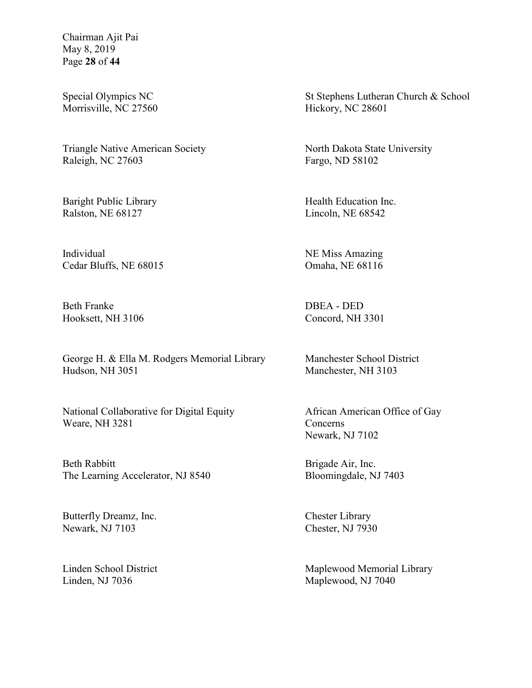Chairman Ajit Pai May 8, 2019 Page **28** of **44**

Special Olympics NC Morrisville, NC 27560

Triangle Native American Society Raleigh, NC 27603

Baright Public Library Ralston, NE 68127

Individual Cedar Bluffs, NE 68015

Beth Franke Hooksett, NH 3106

George H. & Ella M. Rodgers Memorial Library Hudson, NH 3051

National Collaborative for Digital Equity Weare, NH 3281

Beth Rabbitt The Learning Accelerator, NJ 8540

Butterfly Dreamz, Inc. Newark, NJ 7103

Linden School District Linden, NJ 7036

St Stephens Lutheran Church & School Hickory, NC 28601

North Dakota State University Fargo, ND 58102

Health Education Inc. Lincoln, NE 68542

NE Miss Amazing Omaha, NE 68116

DBEA - DED Concord, NH 3301

Manchester School District Manchester, NH 3103

African American Office of Gay Concerns Newark, NJ 7102

Brigade Air, Inc. Bloomingdale, NJ 7403

Chester Library Chester, NJ 7930

Maplewood Memorial Library Maplewood, NJ 7040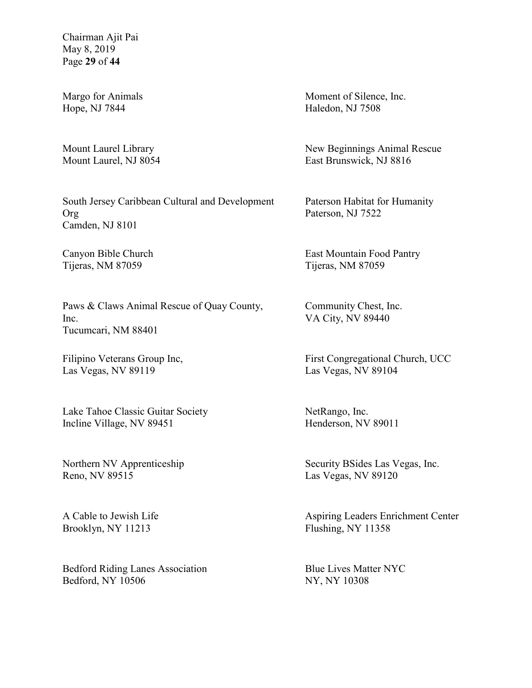Chairman Ajit Pai May 8, 2019 Page **29** of **44**

Margo for Animals Hope, NJ 7844

Mount Laurel Library Mount Laurel, NJ 8054

South Jersey Caribbean Cultural and Development Org Camden, NJ 8101

Canyon Bible Church Tijeras, NM 87059

Paws & Claws Animal Rescue of Quay County, Inc. Tucumcari, NM 88401

Filipino Veterans Group Inc, Las Vegas, NV 89119

Lake Tahoe Classic Guitar Society Incline Village, NV 89451

Northern NV Apprenticeship Reno, NV 89515

A Cable to Jewish Life Brooklyn, NY 11213

Bedford Riding Lanes Association Bedford, NY 10506

Moment of Silence, Inc. Haledon, NJ 7508

New Beginnings Animal Rescue East Brunswick, NJ 8816

Paterson Habitat for Humanity Paterson, NJ 7522

East Mountain Food Pantry Tijeras, NM 87059

Community Chest, Inc. VA City, NV 89440

First Congregational Church, UCC Las Vegas, NV 89104

NetRango, Inc. Henderson, NV 89011

Security BSides Las Vegas, Inc. Las Vegas, NV 89120

Aspiring Leaders Enrichment Center Flushing, NY 11358

Blue Lives Matter NYC NY, NY 10308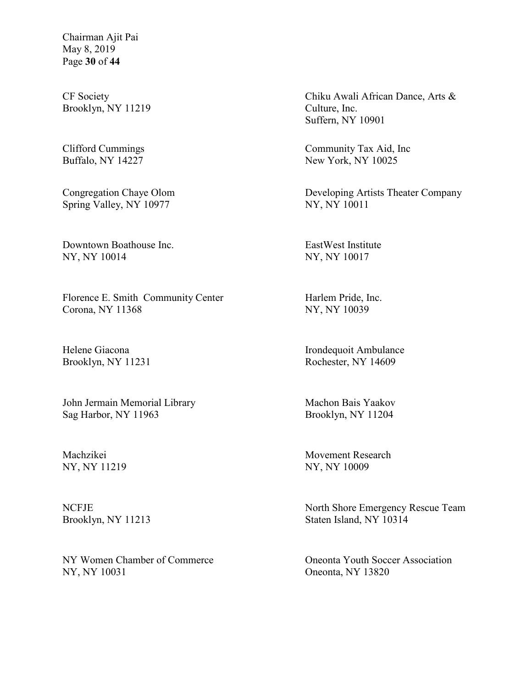Chairman Ajit Pai May 8, 2019 Page **30** of **44**

CF Society Brooklyn, NY 11219

Clifford Cummings Buffalo, NY 14227

Congregation Chaye Olom Spring Valley, NY 10977

Downtown Boathouse Inc. NY, NY 10014

Florence E. Smith Community Center Corona, NY 11368

Helene Giacona Brooklyn, NY 11231

John Jermain Memorial Library Sag Harbor, NY 11963

Machzikei NY, NY 11219

**NCFJE** Brooklyn, NY 11213

NY Women Chamber of Commerce NY, NY 10031

Chiku Awali African Dance, Arts & Culture, Inc. Suffern, NY 10901

Community Tax Aid, Inc New York, NY 10025

Developing Artists Theater Company NY, NY 10011

EastWest Institute NY, NY 10017

Harlem Pride, Inc. NY, NY 10039

Irondequoit Ambulance Rochester, NY 14609

Machon Bais Yaakov Brooklyn, NY 11204

Movement Research NY, NY 10009

North Shore Emergency Rescue Team Staten Island, NY 10314

Oneonta Youth Soccer Association Oneonta, NY 13820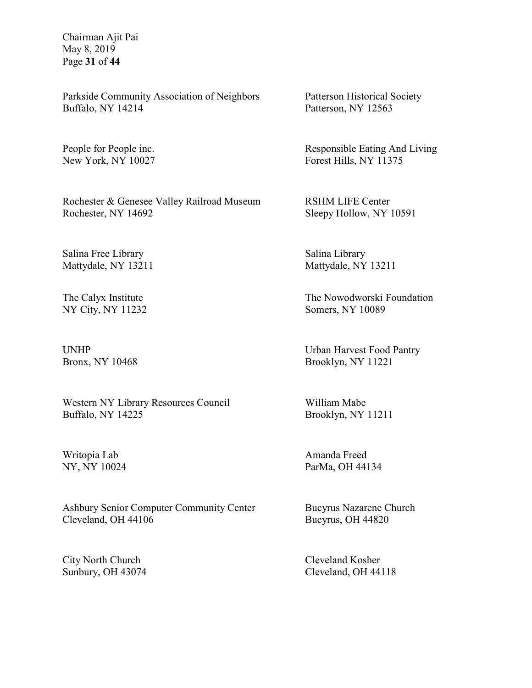Chairman Ajit Pai May 8, 2019 Page **31** of **44**

Parkside Community Association of Neighbors Buffalo, NY 14214

People for People inc. New York, NY 10027

Rochester & Genesee Valley Railroad Museum Rochester, NY 14692

Salina Free Library Mattydale, NY 13211

The Calyx Institute NY City, NY 11232

UNHP Bronx, NY 10468

Western NY Library Resources Council Buffalo, NY 14225

Writopia Lab NY, NY 10024

Ashbury Senior Computer Community Center Cleveland, OH 44106

City North Church Sunbury, OH 43074 Patterson Historical Society Patterson, NY 12563

Responsible Eating And Living Forest Hills, NY 11375

RSHM LIFE Center Sleepy Hollow, NY 10591

Salina Library Mattydale, NY 13211

The Nowodworski Foundation Somers, NY 10089

Urban Harvest Food Pantry Brooklyn, NY 11221

William Mabe Brooklyn, NY 11211

Amanda Freed ParMa, OH 44134

Bucyrus Nazarene Church Bucyrus, OH 44820

Cleveland Kosher Cleveland, OH 44118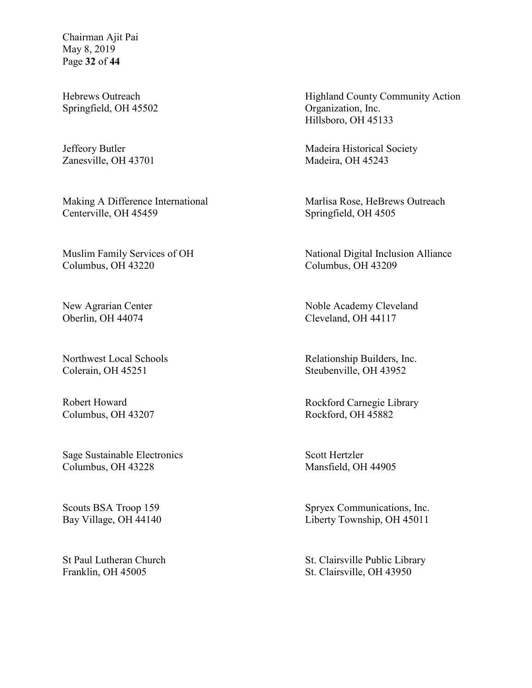Chairman Ajit Pai May 8, 2019 Page **32** of **44**

Hebrews Outreach Springfield, OH 45502

Jeffeory Butler Zanesville, OH 43701

Making A Difference International Centerville, OH 45459

Muslim Family Services of OH Columbus, OH 43220

New Agrarian Center Oberlin, OH 44074

Northwest Local Schools Colerain, OH 45251

Robert Howard Columbus, OH 43207

Sage Sustainable Electronics Columbus, OH 43228

Scouts BSA Troop 159 Bay Village, OH 44140

St Paul Lutheran Church Franklin, OH 45005

Highland County Community Action Organization, Inc. Hillsboro, OH 45133

Madeira Historical Society Madeira, OH 45243

Marlisa Rose, HeBrews Outreach Springfield, OH 4505

National Digital Inclusion Alliance Columbus, OH 43209

Noble Academy Cleveland Cleveland, OH 44117

Relationship Builders, Inc. Steubenville, OH 43952

Rockford Carnegie Library Rockford, OH 45882

Scott Hertzler Mansfield, OH 44905

Spryex Communications, Inc. Liberty Township, OH 45011

St. Clairsville Public Library St. Clairsville, OH 43950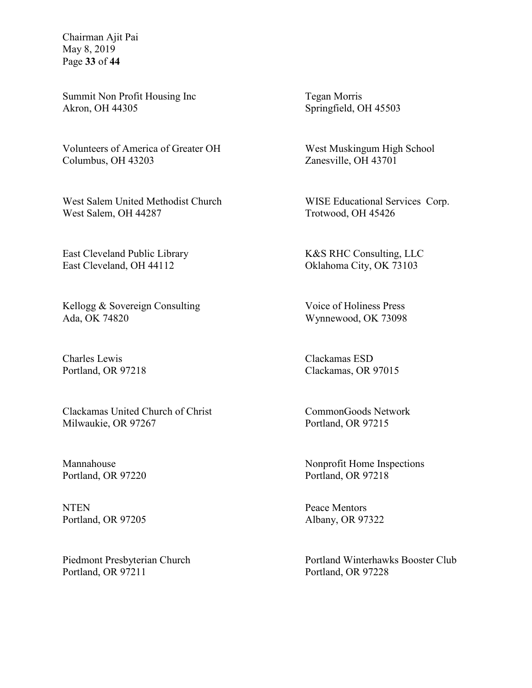Chairman Ajit Pai May 8, 2019 Page **33** of **44**

Summit Non Profit Housing Inc Akron, OH 44305

Volunteers of America of Greater OH Columbus, OH 43203

West Salem United Methodist Church West Salem, OH 44287

East Cleveland Public Library East Cleveland, OH 44112

Kellogg & Sovereign Consulting Ada, OK 74820

Charles Lewis Portland, OR 97218

Clackamas United Church of Christ Milwaukie, OR 97267

Mannahouse Portland, OR 97220

**NTEN** Portland, OR 97205

Piedmont Presbyterian Church Portland, OR 97211

Tegan Morris Springfield, OH 45503

West Muskingum High School Zanesville, OH 43701

WISE Educational Services Corp. Trotwood, OH 45426

K&S RHC Consulting, LLC Oklahoma City, OK 73103

Voice of Holiness Press Wynnewood, OK 73098

Clackamas ESD Clackamas, OR 97015

CommonGoods Network Portland, OR 97215

Nonprofit Home Inspections Portland, OR 97218

Peace Mentors Albany, OR 97322

Portland Winterhawks Booster Club Portland, OR 97228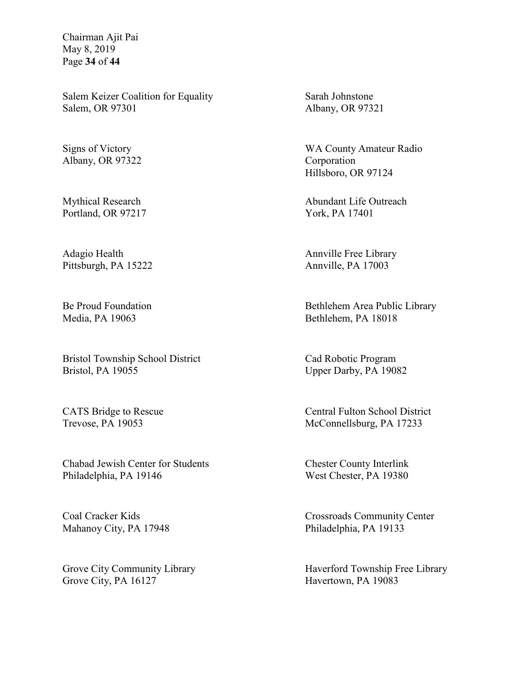Chairman Ajit Pai May 8, 2019 Page **34** of **44**

Salem Keizer Coalition for Equality Salem, OR 97301

Signs of Victory Albany, OR 97322

Mythical Research Portland, OR 97217

Adagio Health Pittsburgh, PA 15222

Be Proud Foundation Media, PA 19063

Bristol Township School District Bristol, PA 19055

CATS Bridge to Rescue Trevose, PA 19053

Chabad Jewish Center for Students Philadelphia, PA 19146

Coal Cracker Kids Mahanoy City, PA 17948

Grove City Community Library Grove City, PA 16127

Sarah Johnstone Albany, OR 97321

WA County Amateur Radio Corporation Hillsboro, OR 97124

Abundant Life Outreach York, PA 17401

Annville Free Library Annville, PA 17003

Bethlehem Area Public Library Bethlehem, PA 18018

Cad Robotic Program Upper Darby, PA 19082

Central Fulton School District McConnellsburg, PA 17233

Chester County Interlink West Chester, PA 19380

Crossroads Community Center Philadelphia, PA 19133

Haverford Township Free Library Havertown, PA 19083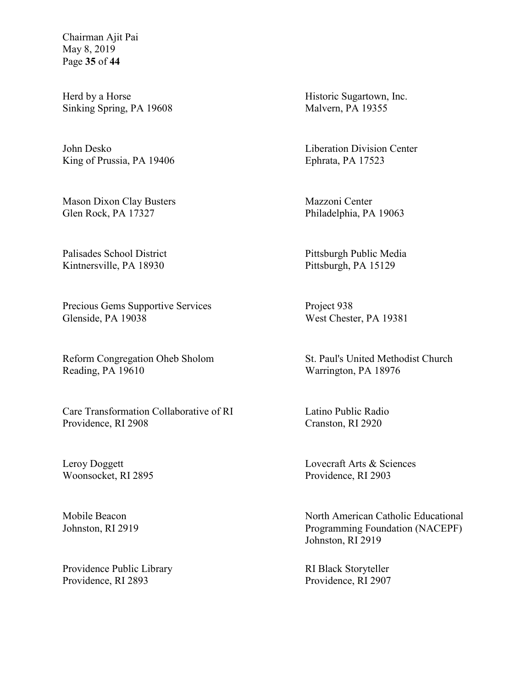Chairman Ajit Pai May 8, 2019 Page **35** of **44**

Herd by a Horse Sinking Spring, PA 19608

John Desko King of Prussia, PA 19406

Mason Dixon Clay Busters Glen Rock, PA 17327

Palisades School District Kintnersville, PA 18930

Precious Gems Supportive Services Glenside, PA 19038

Reform Congregation Oheb Sholom Reading, PA 19610

Care Transformation Collaborative of RI Providence, RI 2908

Leroy Doggett Woonsocket, RI 2895

Mobile Beacon Johnston, RI 2919

Providence Public Library Providence, RI 2893

Historic Sugartown, Inc. Malvern, PA 19355

Liberation Division Center Ephrata, PA 17523

Mazzoni Center Philadelphia, PA 19063

Pittsburgh Public Media Pittsburgh, PA 15129

Project 938 West Chester, PA 19381

St. Paul's United Methodist Church Warrington, PA 18976

Latino Public Radio Cranston, RI 2920

Lovecraft Arts & Sciences Providence, RI 2903

North American Catholic Educational Programming Foundation (NACEPF) Johnston, RI 2919

RI Black Storyteller Providence, RI 2907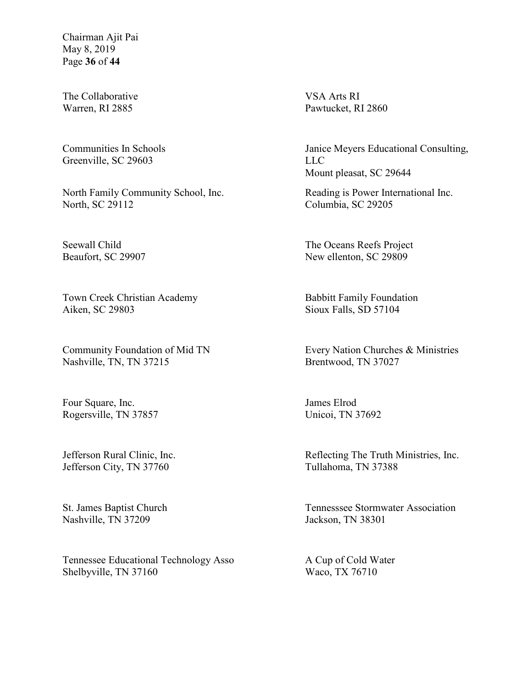Chairman Ajit Pai May 8, 2019 Page **36** of **44**

The Collaborative Warren, RI 2885

Communities In Schools Greenville, SC 29603

North Family Community School, Inc. North, SC 29112

Seewall Child Beaufort, SC 29907

Town Creek Christian Academy Aiken, SC 29803

Community Foundation of Mid TN Nashville, TN, TN 37215

Four Square, Inc. Rogersville, TN 37857

Jefferson Rural Clinic, Inc. Jefferson City, TN 37760

St. James Baptist Church Nashville, TN 37209

Tennessee Educational Technology Asso Shelbyville, TN 37160

VSA Arts RI Pawtucket, RI 2860

Janice Meyers Educational Consulting, LLC Mount pleasat, SC 29644

Reading is Power International Inc. Columbia, SC 29205

The Oceans Reefs Project New ellenton, SC 29809

Babbitt Family Foundation Sioux Falls, SD 57104

Every Nation Churches & Ministries Brentwood, TN 37027

James Elrod Unicoi, TN 37692

Reflecting The Truth Ministries, Inc. Tullahoma, TN 37388

Tennesssee Stormwater Association Jackson, TN 38301

A Cup of Cold Water Waco, TX 76710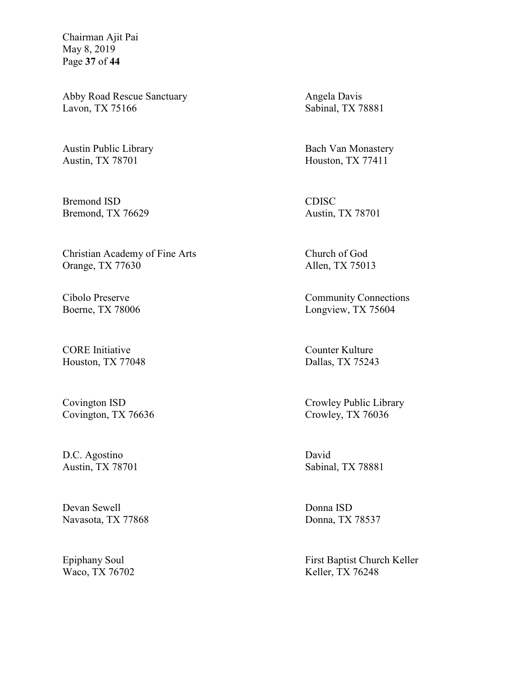Chairman Ajit Pai May 8, 2019 Page **37** of **44**

Abby Road Rescue Sanctuary Lavon, TX 75166

Austin Public Library Austin, TX 78701

Bremond ISD Bremond, TX 76629

Christian Academy of Fine Arts Orange, TX 77630

Cibolo Preserve Boerne, TX 78006

CORE Initiative Houston, TX 77048

Covington ISD Covington, TX 76636

D.C. Agostino Austin, TX 78701

Devan Sewell Navasota, TX 77868

Epiphany Soul Waco, TX 76702 Angela Davis Sabinal, TX 78881

Bach Van Monastery Houston, TX 77411

CDISC Austin, TX 78701

Church of God Allen, TX 75013

Community Connections Longview, TX 75604

Counter Kulture Dallas, TX 75243

Crowley Public Library Crowley, TX 76036

David Sabinal, TX 78881

Donna ISD Donna, TX 78537

First Baptist Church Keller Keller, TX 76248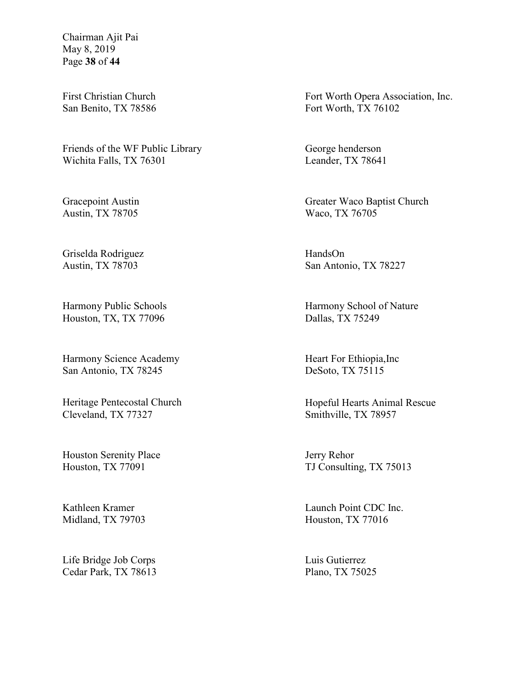Chairman Ajit Pai May 8, 2019 Page **38** of **44**

First Christian Church San Benito, TX 78586

Friends of the WF Public Library Wichita Falls, TX 76301

Gracepoint Austin Austin, TX 78705

Griselda Rodriguez Austin, TX 78703

Harmony Public Schools Houston, TX, TX 77096

Harmony Science Academy San Antonio, TX 78245

Heritage Pentecostal Church Cleveland, TX 77327

Houston Serenity Place Houston, TX 77091

Kathleen Kramer Midland, TX 79703

Life Bridge Job Corps Cedar Park, TX 78613 Fort Worth Opera Association, Inc. Fort Worth, TX 76102

George henderson Leander, TX 78641

Greater Waco Baptist Church Waco, TX 76705

HandsOn San Antonio, TX 78227

Harmony School of Nature Dallas, TX 75249

Heart For Ethiopia,Inc DeSoto, TX 75115

Hopeful Hearts Animal Rescue Smithville, TX 78957

Jerry Rehor TJ Consulting, TX 75013

Launch Point CDC Inc. Houston, TX 77016

Luis Gutierrez Plano, TX 75025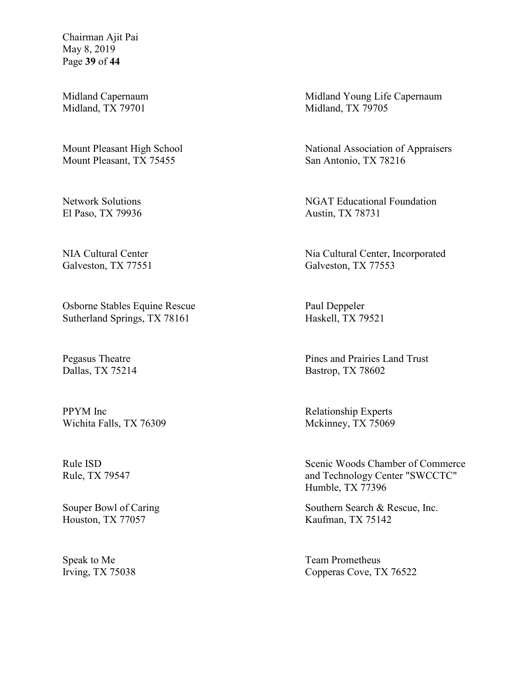Chairman Ajit Pai May 8, 2019 Page **39** of **44**

Midland Capernaum Midland, TX 79701

Mount Pleasant High School Mount Pleasant, TX 75455

Network Solutions El Paso, TX 79936

NIA Cultural Center Galveston, TX 77551

Osborne Stables Equine Rescue Sutherland Springs, TX 78161

Pegasus Theatre Dallas, TX 75214

PPYM Inc Wichita Falls, TX 76309

Rule ISD Rule, TX 79547

Souper Bowl of Caring Houston, TX 77057

Speak to Me Irving, TX 75038 Midland Young Life Capernaum Midland, TX 79705

National Association of Appraisers San Antonio, TX 78216

NGAT Educational Foundation Austin, TX 78731

Nia Cultural Center, Incorporated Galveston, TX 77553

Paul Deppeler Haskell, TX 79521

Pines and Prairies Land Trust Bastrop, TX 78602

Relationship Experts Mckinney, TX 75069

Scenic Woods Chamber of Commerce and Technology Center "SWCCTC" Humble, TX 77396

Southern Search & Rescue, Inc. Kaufman, TX 75142

Team Prometheus Copperas Cove, TX 76522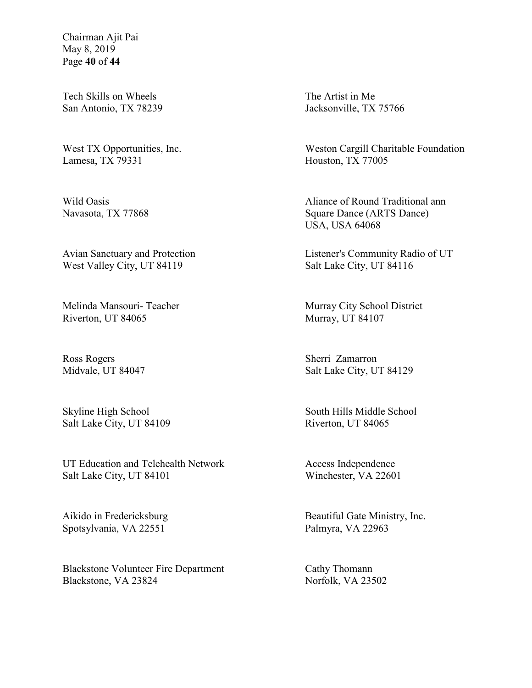Chairman Ajit Pai May 8, 2019 Page **40** of **44**

Tech Skills on Wheels San Antonio, TX 78239

West TX Opportunities, Inc. Lamesa, TX 79331

Wild Oasis Navasota, TX 77868

Avian Sanctuary and Protection West Valley City, UT 84119

Melinda Mansouri- Teacher Riverton, UT 84065

Ross Rogers Midvale, UT 84047

Skyline High School Salt Lake City, UT 84109

UT Education and Telehealth Network Salt Lake City, UT 84101

Aikido in Fredericksburg Spotsylvania, VA 22551

Blackstone Volunteer Fire Department Blackstone, VA 23824

The Artist in Me Jacksonville, TX 75766

Weston Cargill Charitable Foundation Houston, TX 77005

Aliance of Round Traditional ann Square Dance (ARTS Dance) USA, USA 64068

Listener's Community Radio of UT Salt Lake City, UT 84116

Murray City School District Murray, UT 84107

Sherri Zamarron Salt Lake City, UT 84129

South Hills Middle School Riverton, UT 84065

Access Independence Winchester, VA 22601

Beautiful Gate Ministry, Inc. Palmyra, VA 22963

Cathy Thomann Norfolk, VA 23502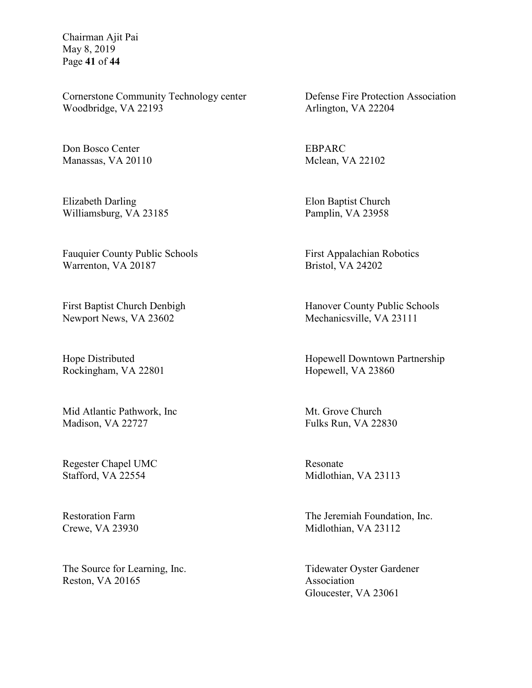Chairman Ajit Pai May 8, 2019 Page **41** of **44**

Cornerstone Community Technology center Woodbridge, VA 22193

Don Bosco Center Manassas, VA 20110

Elizabeth Darling Williamsburg, VA 23185

Fauquier County Public Schools Warrenton, VA 20187

First Baptist Church Denbigh Newport News, VA 23602

Hope Distributed Rockingham, VA 22801

Mid Atlantic Pathwork, Inc Madison, VA 22727

Regester Chapel UMC Stafford, VA 22554

Restoration Farm Crewe, VA 23930

The Source for Learning, Inc. Reston, VA 20165

Defense Fire Protection Association Arlington, VA 22204

EBPARC Mclean, VA 22102

Elon Baptist Church Pamplin, VA 23958

First Appalachian Robotics Bristol, VA 24202

Hanover County Public Schools Mechanicsville, VA 23111

Hopewell Downtown Partnership Hopewell, VA 23860

Mt. Grove Church Fulks Run, VA 22830

Resonate Midlothian, VA 23113

The Jeremiah Foundation, Inc. Midlothian, VA 23112

Tidewater Oyster Gardener Association Gloucester, VA 23061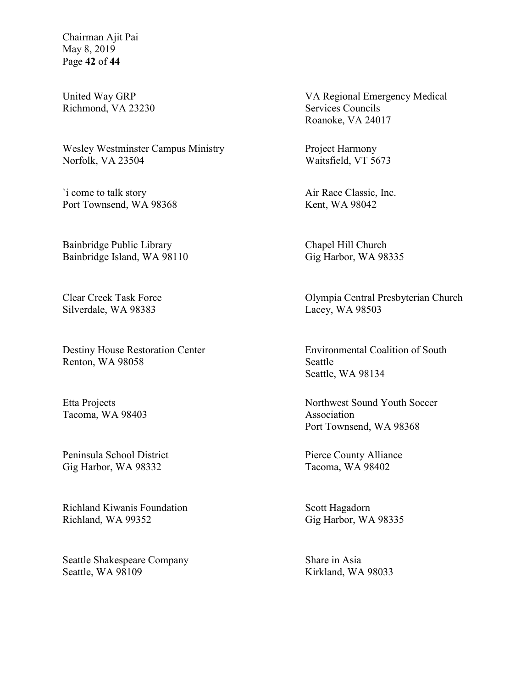Chairman Ajit Pai May 8, 2019 Page **42** of **44**

United Way GRP Richmond, VA 23230

Wesley Westminster Campus Ministry Norfolk, VA 23504

`i come to talk story Port Townsend, WA 98368

Bainbridge Public Library Bainbridge Island, WA 98110

Clear Creek Task Force Silverdale, WA 98383

Destiny House Restoration Center Renton, WA 98058

Etta Projects Tacoma, WA 98403

Peninsula School District Gig Harbor, WA 98332

Richland Kiwanis Foundation Richland, WA 99352

Seattle Shakespeare Company Seattle, WA 98109

VA Regional Emergency Medical Services Councils Roanoke, VA 24017

Project Harmony Waitsfield, VT 5673

Air Race Classic, Inc. Kent, WA 98042

Chapel Hill Church Gig Harbor, WA 98335

Olympia Central Presbyterian Church Lacey, WA 98503

Environmental Coalition of South Seattle Seattle, WA 98134

Northwest Sound Youth Soccer Association Port Townsend, WA 98368

Pierce County Alliance Tacoma, WA 98402

Scott Hagadorn Gig Harbor, WA 98335

Share in Asia Kirkland, WA 98033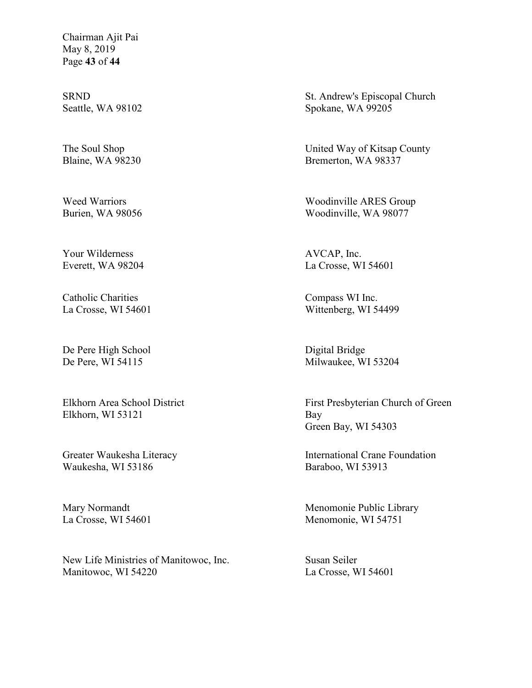Chairman Ajit Pai May 8, 2019 Page **43** of **44**

SRND Seattle, WA 98102

The Soul Shop Blaine, WA 98230

Weed Warriors Burien, WA 98056

Your Wilderness Everett, WA 98204

Catholic Charities La Crosse, WI 54601

De Pere High School De Pere, WI 54115

Elkhorn Area School District Elkhorn, WI 53121

Greater Waukesha Literacy Waukesha, WI 53186

Mary Normandt La Crosse, WI 54601

New Life Ministries of Manitowoc, Inc. Manitowoc, WI 54220

St. Andrew's Episcopal Church Spokane, WA 99205

United Way of Kitsap County Bremerton, WA 98337

Woodinville ARES Group Woodinville, WA 98077

AVCAP, Inc. La Crosse, WI 54601

Compass WI Inc. Wittenberg, WI 54499

Digital Bridge Milwaukee, WI 53204

First Presbyterian Church of Green Bay Green Bay, WI 54303

International Crane Foundation Baraboo, WI 53913

Menomonie Public Library Menomonie, WI 54751

Susan Seiler La Crosse, WI 54601